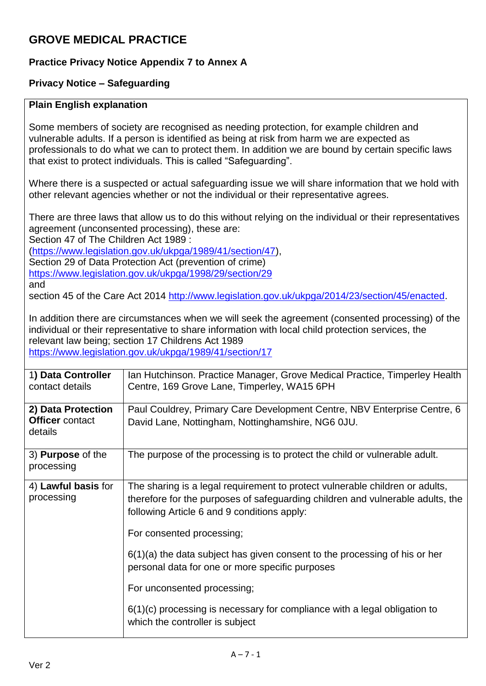## **GROVE MEDICAL PRACTICE**

## **Practice Privacy Notice Appendix 7 to Annex A**

## **Privacy Notice – Safeguarding**

## **Plain English explanation**

Some members of society are recognised as needing protection, for example children and vulnerable adults. If a person is identified as being at risk from harm we are expected as professionals to do what we can to protect them. In addition we are bound by certain specific laws that exist to protect individuals. This is called "Safeguarding".

Where there is a suspected or actual safeguarding issue we will share information that we hold with other relevant agencies whether or not the individual or their representative agrees.

There are three laws that allow us to do this without relying on the individual or their representatives agreement (unconsented processing), these are:

Section 47 of The Children Act 1989 :

[\(https://www.legislation.gov.uk/ukpga/1989/41/section/47\)](https://www.legislation.gov.uk/ukpga/1989/41/section/47), Section 29 of Data Protection Act (prevention of crime) <https://www.legislation.gov.uk/ukpga/1998/29/section/29>

and

section 45 of the Care Act 2014 [http://www.legislation.gov.uk/ukpga/2014/23/section/45/enacted.](http://www.legislation.gov.uk/ukpga/2014/23/section/45/enacted)

In addition there are circumstances when we will seek the agreement (consented processing) of the individual or their representative to share information with local child protection services, the relevant law being; section 17 Childrens Act 1989

<https://www.legislation.gov.uk/ukpga/1989/41/section/17>

| 1) Data Controller<br>contact details                   | Ian Hutchinson. Practice Manager, Grove Medical Practice, Timperley Health<br>Centre, 169 Grove Lane, Timperley, WA15 6PH                                                                                     |
|---------------------------------------------------------|---------------------------------------------------------------------------------------------------------------------------------------------------------------------------------------------------------------|
| 2) Data Protection<br><b>Officer</b> contact<br>details | Paul Couldrey, Primary Care Development Centre, NBV Enterprise Centre, 6<br>David Lane, Nottingham, Nottinghamshire, NG6 0JU.                                                                                 |
| 3) <b>Purpose</b> of the<br>processing                  | The purpose of the processing is to protect the child or vulnerable adult.                                                                                                                                    |
| 4) Lawful basis for<br>processing                       | The sharing is a legal requirement to protect vulnerable children or adults,<br>therefore for the purposes of safeguarding children and vulnerable adults, the<br>following Article 6 and 9 conditions apply: |
|                                                         | For consented processing;                                                                                                                                                                                     |
|                                                         | $6(1)(a)$ the data subject has given consent to the processing of his or her<br>personal data for one or more specific purposes                                                                               |
|                                                         | For unconsented processing;                                                                                                                                                                                   |
|                                                         | $6(1)(c)$ processing is necessary for compliance with a legal obligation to<br>which the controller is subject                                                                                                |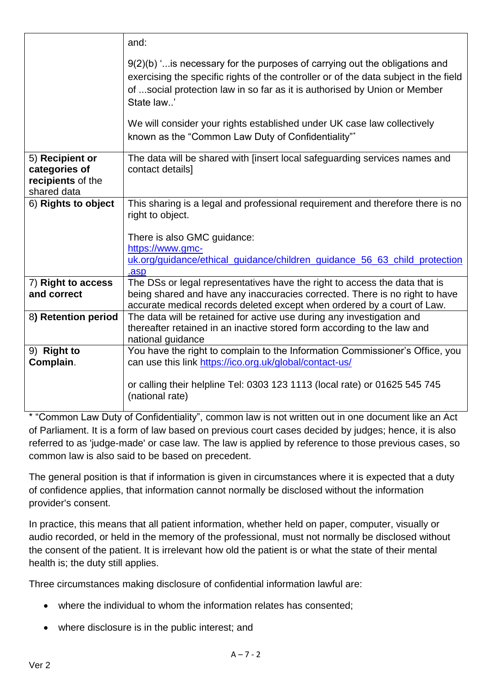|                                                                      | and:                                                                                                                                                                                                                                                             |
|----------------------------------------------------------------------|------------------------------------------------------------------------------------------------------------------------------------------------------------------------------------------------------------------------------------------------------------------|
|                                                                      | $9(2)(b)$ ' is necessary for the purposes of carrying out the obligations and<br>exercising the specific rights of the controller or of the data subject in the field<br>of social protection law in so far as it is authorised by Union or Member<br>State law' |
|                                                                      | We will consider your rights established under UK case law collectively<br>known as the "Common Law Duty of Confidentiality"*                                                                                                                                    |
| 5) Recipient or<br>categories of<br>recipients of the<br>shared data | The data will be shared with [insert local safeguarding services names and<br>contact details]                                                                                                                                                                   |
| 6) Rights to object                                                  | This sharing is a legal and professional requirement and therefore there is no<br>right to object.<br>There is also GMC guidance:<br>https://www.gmc-                                                                                                            |
|                                                                      | uk.org/guidance/ethical_guidance/children_guidance_56_63_child_protection<br>.asp                                                                                                                                                                                |
| 7) Right to access<br>and correct                                    | The DSs or legal representatives have the right to access the data that is<br>being shared and have any inaccuracies corrected. There is no right to have<br>accurate medical records deleted except when ordered by a court of Law.                             |
| 8) Retention period                                                  | The data will be retained for active use during any investigation and<br>thereafter retained in an inactive stored form according to the law and<br>national guidance                                                                                            |
| 9) Right to<br>Complain.                                             | You have the right to complain to the Information Commissioner's Office, you<br>can use this link https://ico.org.uk/global/contact-us/                                                                                                                          |
|                                                                      | or calling their helpline Tel: 0303 123 1113 (local rate) or 01625 545 745<br>(national rate)                                                                                                                                                                    |

\* "Common Law Duty of Confidentiality", common law is not written out in one document like an Act of Parliament. It is a form of law based on previous court cases decided by judges; hence, it is also referred to as 'judge-made' or case law. The law is applied by reference to those previous cases, so common law is also said to be based on precedent.

The general position is that if information is given in circumstances where it is expected that a duty of confidence applies, that information cannot normally be disclosed without the information provider's consent.

In practice, this means that all patient information, whether held on paper, computer, visually or audio recorded, or held in the memory of the professional, must not normally be disclosed without the consent of the patient. It is irrelevant how old the patient is or what the state of their mental health is; the duty still applies.

Three circumstances making disclosure of confidential information lawful are:

- where the individual to whom the information relates has consented;
- where disclosure is in the public interest; and